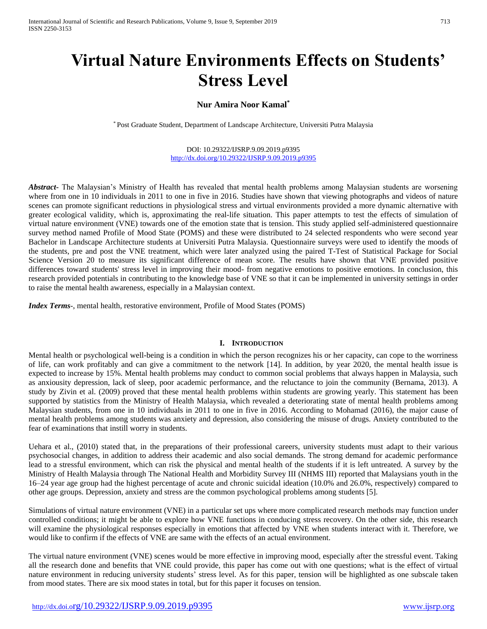# **Virtual Nature Environments Effects on Students' Stress Level**

# **Nur Amira Noor Kamal\***

\* Post Graduate Student, Department of Landscape Architecture, Universiti Putra Malaysia

DOI: 10.29322/IJSRP.9.09.2019.p9395 <http://dx.doi.org/10.29322/IJSRP.9.09.2019.p9395>

*Abstract***-** The Malaysian's Ministry of Health has revealed that mental health problems among Malaysian students are worsening where from one in 10 individuals in 2011 to one in five in 2016. Studies have shown that viewing photographs and videos of nature scenes can promote significant reductions in physiological stress and virtual environments provided a more dynamic alternative with greater ecological validity, which is, approximating the real-life situation. This paper attempts to test the effects of simulation of virtual nature environment (VNE) towards one of the emotion state that is tension. This study applied self-administered questionnaire survey method named Profile of Mood State (POMS) and these were distributed to 24 selected respondents who were second year Bachelor in Landscape Architecture students at Universiti Putra Malaysia. Questionnaire surveys were used to identify the moods of the students, pre and post the VNE treatment, which were later analyzed using the paired T-Test of Statistical Package for Social Science Version 20 to measure its significant difference of mean score. The results have shown that VNE provided positive differences toward students' stress level in improving their mood- from negative emotions to positive emotions. In conclusion, this research provided potentials in contributing to the knowledge base of VNE so that it can be implemented in university settings in order to raise the mental health awareness, especially in a Malaysian context.

*Index Terms*-, mental health, restorative environment, Profile of Mood States (POMS)

#### **I. INTRODUCTION**

Mental health or psychological well-being is a condition in which the person recognizes his or her capacity, can cope to the worriness of life, can work profitably and can give a commitment to the network [14]. In addition, by year 2020, the mental health issue is expected to increase by 15%. Mental health problems may conduct to common social problems that always happen in Malaysia, such as anxiousity depression, lack of sleep, poor academic performance, and the reluctance to join the community (Bernama, 2013). A study by Zivin et al. (2009) proved that these mental health problems within students are growing yearly. This statement has been supported by statistics from the Ministry of Health Malaysia, which revealed a deteriorating state of mental health problems among Malaysian students, from one in 10 individuals in 2011 to one in five in 2016. According to Mohamad (2016), the major cause of mental health problems among students was anxiety and depression, also considering the misuse of drugs. Anxiety contributed to the fear of examinations that instill worry in students.

Uehara et al., (2010) stated that, in the preparations of their professional careers, university students must adapt to their various psychosocial changes, in addition to address their academic and also social demands. The strong demand for academic performance lead to a stressful environment, which can risk the physical and mental health of the students if it is left untreated. A survey by the Ministry of Health Malaysia through The National Health and Morbidity Survey III (NHMS III) reported that Malaysians youth in the 16–24 year age group had the highest percentage of acute and chronic suicidal ideation (10.0% and 26.0%, respectively) compared to other age groups. Depression, anxiety and stress are the common psychological problems among students [5].

Simulations of virtual nature environment (VNE) in a particular set ups where more complicated research methods may function under controlled conditions; it might be able to explore how VNE functions in conducing stress recovery. On the other side, this research will examine the physiological responses especially in emotions that affected by VNE when students interact with it. Therefore, we would like to confirm if the effects of VNE are same with the effects of an actual environment.

The virtual nature environment (VNE) scenes would be more effective in improving mood, especially after the stressful event. Taking all the research done and benefits that VNE could provide, this paper has come out with one questions; what is the effect of virtual nature environment in reducing university students' stress level. As for this paper, tension will be highlighted as one subscale taken from mood states. There are six mood states in total, but for this paper it focuses on tension.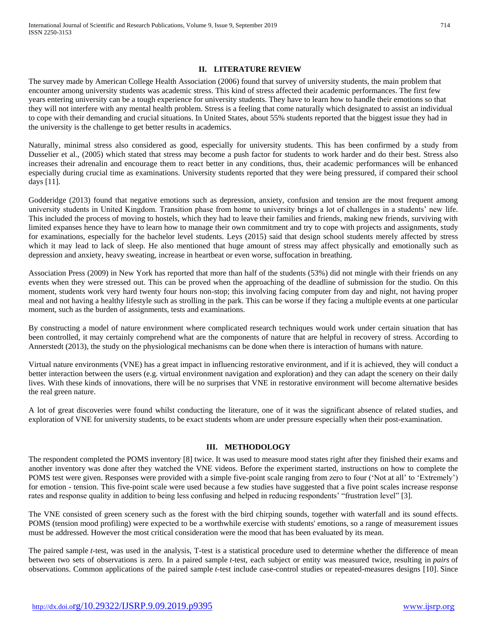## **II. LITERATURE REVIEW**

The survey made by American College Health Association (2006) found that survey of university students, the main problem that encounter among university students was academic stress. This kind of stress affected their academic performances. The first few years entering university can be a tough experience for university students. They have to learn how to handle their emotions so that they will not interfere with any mental health problem. Stress is a feeling that come naturally which designated to assist an individual to cope with their demanding and crucial situations. In United States, about 55% students reported that the biggest issue they had in the university is the challenge to get better results in academics.

Naturally, minimal stress also considered as good, especially for university students. This has been confirmed by a study from Dusselier et al., (2005) which stated that stress may become a push factor for students to work harder and do their best. Stress also increases their adrenalin and encourage them to react better in any conditions, thus, their academic performances will be enhanced especially during crucial time as examinations. University students reported that they were being pressured, if compared their school days [11].

Godderidge (2013) found that negative emotions such as depression, anxiety, confusion and tension are the most frequent among university students in United Kingdom. Transition phase from home to university brings a lot of challenges in a students' new life. This included the process of moving to hostels, which they had to leave their families and friends, making new friends, surviving with limited expanses hence they have to learn how to manage their own commitment and try to cope with projects and assignments, study for examinations, especially for the bachelor level students. Leys (2015) said that design school students merely affected by stress which it may lead to lack of sleep. He also mentioned that huge amount of stress may affect physically and emotionally such as depression and anxiety, heavy sweating, increase in heartbeat or even worse, suffocation in breathing.

Association Press (2009) in New York has reported that more than half of the students (53%) did not mingle with their friends on any events when they were stressed out. This can be proved when the approaching of the deadline of submission for the studio. On this moment, students work very hard twenty four hours non-stop; this involving facing computer from day and night, not having proper meal and not having a healthy lifestyle such as strolling in the park. This can be worse if they facing a multiple events at one particular moment, such as the burden of assignments, tests and examinations.

By constructing a model of nature environment where complicated research techniques would work under certain situation that has been controlled, it may certainly comprehend what are the components of nature that are helpful in recovery of stress. According to Annerstedt (2013), the study on the physiological mechanisms can be done when there is interaction of humans with nature.

Virtual nature environments (VNE) has a great impact in influencing restorative environment, and if it is achieved, they will conduct a better interaction between the users (e.g. virtual environment navigation and exploration) and they can adapt the scenery on their daily lives. With these kinds of innovations, there will be no surprises that VNE in restorative environment will become alternative besides the real green nature.

A lot of great discoveries were found whilst conducting the literature, one of it was the significant absence of related studies, and exploration of VNE for university students, to be exact students whom are under pressure especially when their post-examination.

## **III. METHODOLOGY**

The respondent completed the POMS inventory [8] twice. It was used to measure mood states right after they finished their exams and another inventory was done after they watched the VNE videos. Before the experiment started, instructions on how to complete the POMS test were given. Responses were provided with a simple five-point scale ranging from zero to four ('Not at all' to 'Extremely') for emotion - tension. This five-point scale were used because a few studies have suggested that a five point scales increase response rates and response quality in addition to being less confusing and helped in reducing respondents' "frustration level" [3].

The VNE consisted of green scenery such as the forest with the bird chirping sounds, together with waterfall and its sound effects. POMS (tension mood profiling) were expected to be a worthwhile exercise with students' emotions, so a range of measurement issues must be addressed. However the most critical consideration were the mood that has been evaluated by its mean.

The paired sample *t*-test, was used in the analysis, T-test is a statistical procedure used to determine whether the difference of mean between two sets of observations is zero. In a paired sample *t*-test, each subject or entity was measured twice, resulting in *pairs* of observations. Common applications of the paired sample *t*-test include case-control studies or repeated-measures designs [10]. Since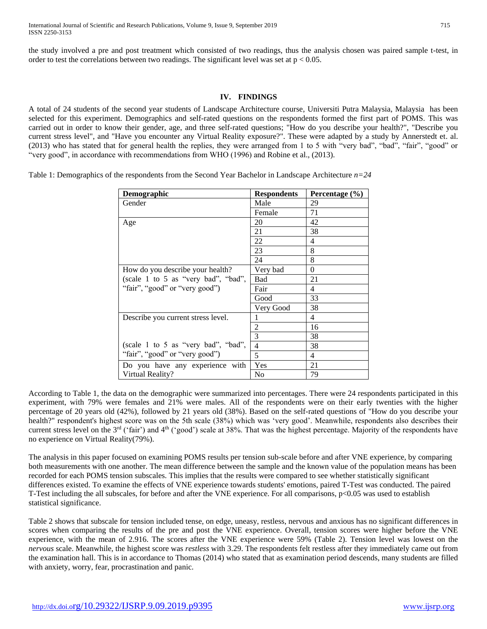the study involved a pre and post treatment which consisted of two readings, thus the analysis chosen was paired sample t-test, in order to test the correlations between two readings. The significant level was set at  $p < 0.05$ .

## **IV. FINDINGS**

A total of 24 students of the second year students of Landscape Architecture course, Universiti Putra Malaysia, Malaysia has been selected for this experiment. Demographics and self-rated questions on the respondents formed the first part of POMS. This was carried out in order to know their gender, age, and three self-rated questions; "How do you describe your health?", "Describe you current stress level", and "Have you encounter any Virtual Reality exposure?". These were adapted by a study by Annerstedt et. al. (2013) who has stated that for general health the replies, they were arranged from 1 to 5 with "very bad", "bad", "fair", "good" or "very good", in accordance with recommendations from WHO (1996) and Robine et al., (2013).

Table 1: Demographics of the respondents from the Second Year Bachelor in Landscape Architecture *n=24*

| <b>Demographic</b>                  | <b>Respondents</b> | Percentage $(\% )$ |
|-------------------------------------|--------------------|--------------------|
| Gender                              | Male               | 29                 |
|                                     | Female             | 71                 |
| Age                                 | 20                 | 42                 |
|                                     | 21                 | 38                 |
|                                     | 22                 | 4                  |
|                                     | 23                 | 8                  |
|                                     | 24                 | 8                  |
| How do you describe your health?    | Very bad           | $\Omega$           |
| (scale 1 to 5 as "very bad", "bad", | Bad                | 21                 |
| "fair", "good" or "very good")      | Fair               | 4                  |
|                                     | Good               | 33                 |
|                                     | Very Good          | 38                 |
| Describe you current stress level.  | 1                  | 4                  |
|                                     | $\overline{2}$     | 16                 |
|                                     | 3                  | 38                 |
| (scale 1 to 5 as "very bad", "bad", | $\overline{4}$     | 38                 |
| "fair", "good" or "very good")      | 5                  | 4                  |
| Do you have any experience with     | Yes                | 21                 |
| Virtual Reality?                    | No                 | 79                 |

According to Table 1, the data on the demographic were summarized into percentages. There were 24 respondents participated in this experiment, with 79% were females and 21% were males. All of the respondents were on their early twenties with the higher percentage of 20 years old (42%), followed by 21 years old (38%). Based on the self-rated questions of "How do you describe your health?" respondent's highest score was on the 5th scale (38%) which was 'very good'. Meanwhile, respondents also describes their current stress level on the  $3<sup>rd</sup>$  ('fair') and  $4<sup>th</sup>$  ('good') scale at 38%. That was the highest percentage. Majority of the respondents have no experience on Virtual Reality(79%).

The analysis in this paper focused on examining POMS results per tension sub-scale before and after VNE experience, by comparing both measurements with one another. The mean difference between the sample and the known value of the population means has been recorded for each POMS tension subscales. This implies that the results were compared to see whether statistically significant differences existed. To examine the effects of VNE experience towards students' emotions, paired T-Test was conducted. The paired T-Test including the all subscales, for before and after the VNE experience. For all comparisons, p<0.05 was used to establish statistical significance.

Table 2 shows that subscale for tension included tense, on edge, uneasy, restless, nervous and anxious has no significant differences in scores when comparing the results of the pre and post the VNE experience. Overall, tension scores were higher before the VNE experience, with the mean of 2.916. The scores after the VNE experience were 59% (Table 2). Tension level was lowest on the *nervous* scale. Meanwhile, the highest score was *restless* with 3.29. The respondents felt restless after they immediately came out from the examination hall. This is in accordance to Thomas (2014) who stated that as examination period descends, many students are filled with anxiety, worry, fear, procrastination and panic.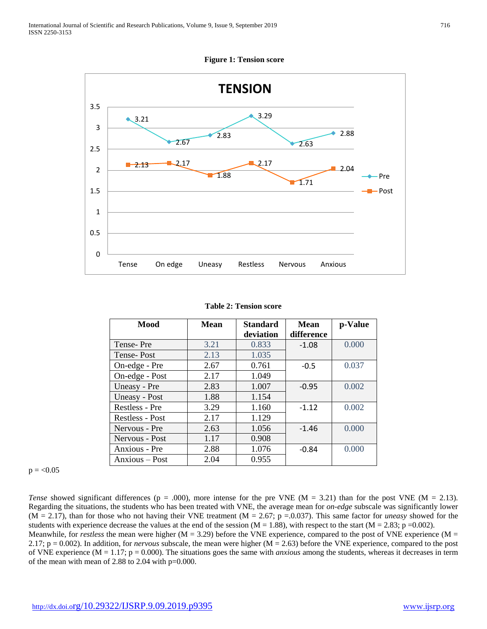**TENSION** 3.5 3.29 ◆ 3.21 3 2.88 ۰ 2.83 2.67 2.63 2.5  $-2.13 - 2.17$ 2.17  $\overline{2.04}$ 2  $\blacksquare$ 1.88 Pre 1.71 1.5 - Post 1 0.5 0 Tense On edge Uneasy Restless Nervous Anxious

**Figure 1: Tension score**

|  |  | <b>Table 2: Tension score</b> |
|--|--|-------------------------------|
|--|--|-------------------------------|

| <b>Mood</b>       | <b>Mean</b> | <b>Standard</b><br>deviation | <b>Mean</b><br>difference | p-Value |
|-------------------|-------------|------------------------------|---------------------------|---------|
| Tense-Pre         | 3.21        | 0.833                        | $-1.08$                   | 0.000   |
| <b>Tense-Post</b> | 2.13        | 1.035                        |                           |         |
| On-edge - Pre     | 2.67        | 0.761                        | $-0.5$                    | 0.037   |
| On-edge - Post    | 2.17        | 1.049                        |                           |         |
| Uneasy - Pre      | 2.83        | 1.007                        | $-0.95$                   | 0.002   |
| Uneasy - Post     | 1.88        | 1.154                        |                           |         |
| Restless - Pre    | 3.29        | 1.160                        | $-1.12$                   | 0.002   |
| Restless - Post   | 2.17        | 1.129                        |                           |         |
| Nervous - Pre     | 2.63        | 1.056                        | $-1.46$                   | 0.000   |
| Nervous - Post    | 1.17        | 0.908                        |                           |         |
| Anxious - Pre     | 2.88        | 1.076                        | $-0.84$                   | 0.000   |
| Anxious – Post    | 2.04        | 0.955                        |                           |         |

 $p = < 0.05$ 

*Tense* showed significant differences ( $p = .000$ ), more intense for the pre VNE ( $M = 3.21$ ) than for the post VNE ( $M = 2.13$ ). Regarding the situations, the students who has been treated with VNE, the average mean for *on-edge* subscale was significantly lower (M = 2.17), than for those who not having their VNE treatment (M = 2.67; p =.0.037). This same factor for *uneasy* showed for the students with experience decrease the values at the end of the session ( $M = 1.88$ ), with respect to the start ( $M = 2.83$ ; p =0.002). Meanwhile, for *restless* the mean were higher ( $M = 3.29$ ) before the VNE experience, compared to the post of VNE experience ( $M =$ 2.17; p = 0.002). In addition, for *nervous* subscale, the mean were higher (M = 2.63) before the VNE experience, compared to the post of VNE experience (M = 1.17; p = 0.000). The situations goes the same with *anxious* among the students, whereas it decreases in term

of the mean with mean of 2.88 to 2.04 with p=0.000.